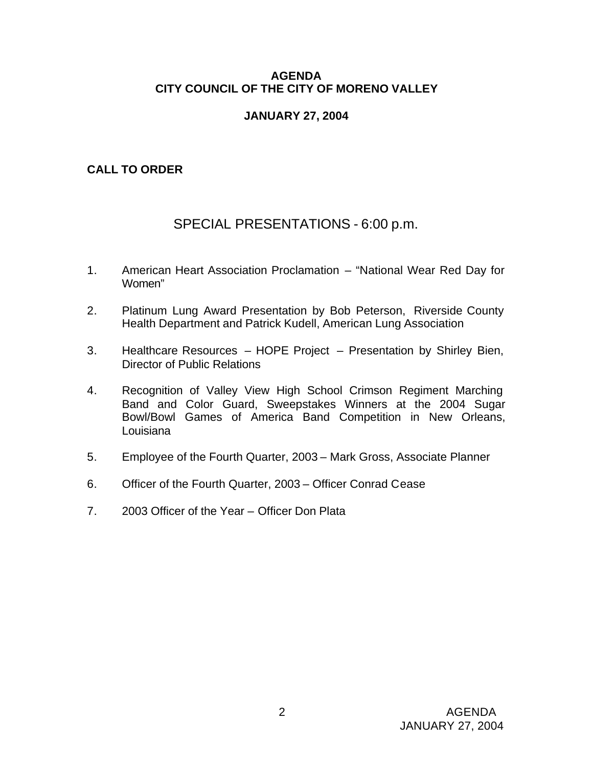### **AGENDA CITY COUNCIL OF THE CITY OF MORENO VALLEY**

### **JANUARY 27, 2004**

## **CALL TO ORDER**

# SPECIAL PRESENTATIONS - 6:00 p.m.

- 1. American Heart Association Proclamation "National Wear Red Day for Women"
- 2. Platinum Lung Award Presentation by Bob Peterson, Riverside County Health Department and Patrick Kudell, American Lung Association
- 3. Healthcare Resources HOPE Project Presentation by Shirley Bien, Director of Public Relations
- 4. Recognition of Valley View High School Crimson Regiment Marching Band and Color Guard, Sweepstakes Winners at the 2004 Sugar Bowl/Bowl Games of America Band Competition in New Orleans, Louisiana
- 5. Employee of the Fourth Quarter, 2003 Mark Gross, Associate Planner
- 6. Officer of the Fourth Quarter, 2003 Officer Conrad Cease
- 7. 2003 Officer of the Year Officer Don Plata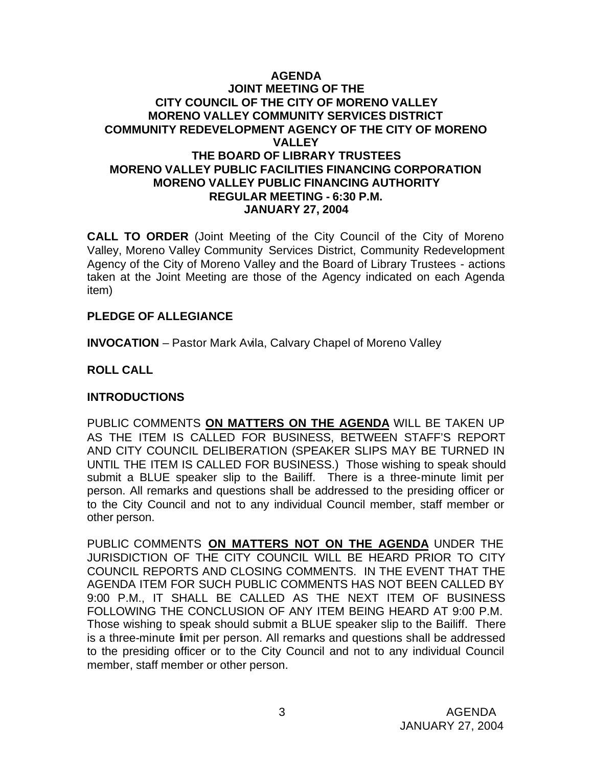### **AGENDA JOINT MEETING OF THE CITY COUNCIL OF THE CITY OF MORENO VALLEY MORENO VALLEY COMMUNITY SERVICES DISTRICT COMMUNITY REDEVELOPMENT AGENCY OF THE CITY OF MORENO VALLEY THE BOARD OF LIBRARY TRUSTEES MORENO VALLEY PUBLIC FACILITIES FINANCING CORPORATION MORENO VALLEY PUBLIC FINANCING AUTHORITY REGULAR MEETING - 6:30 P.M. JANUARY 27, 2004**

**CALL TO ORDER** (Joint Meeting of the City Council of the City of Moreno Valley, Moreno Valley Community Services District, Community Redevelopment Agency of the City of Moreno Valley and the Board of Library Trustees - actions taken at the Joint Meeting are those of the Agency indicated on each Agenda item)

### **PLEDGE OF ALLEGIANCE**

**INVOCATION** – Pastor Mark Avila, Calvary Chapel of Moreno Valley

## **ROLL CALL**

### **INTRODUCTIONS**

PUBLIC COMMENTS **ON MATTERS ON THE AGENDA** WILL BE TAKEN UP AS THE ITEM IS CALLED FOR BUSINESS, BETWEEN STAFF'S REPORT AND CITY COUNCIL DELIBERATION (SPEAKER SLIPS MAY BE TURNED IN UNTIL THE ITEM IS CALLED FOR BUSINESS.) Those wishing to speak should submit a BLUE speaker slip to the Bailiff. There is a three-minute limit per person. All remarks and questions shall be addressed to the presiding officer or to the City Council and not to any individual Council member, staff member or other person.

PUBLIC COMMENTS **ON MATTERS NOT ON THE AGENDA** UNDER THE JURISDICTION OF THE CITY COUNCIL WILL BE HEARD PRIOR TO CITY COUNCIL REPORTS AND CLOSING COMMENTS. IN THE EVENT THAT THE AGENDA ITEM FOR SUCH PUBLIC COMMENTS HAS NOT BEEN CALLED BY 9:00 P.M., IT SHALL BE CALLED AS THE NEXT ITEM OF BUSINESS FOLLOWING THE CONCLUSION OF ANY ITEM BEING HEARD AT 9:00 P.M. Those wishing to speak should submit a BLUE speaker slip to the Bailiff. There is a three-minute limit per person. All remarks and questions shall be addressed to the presiding officer or to the City Council and not to any individual Council member, staff member or other person.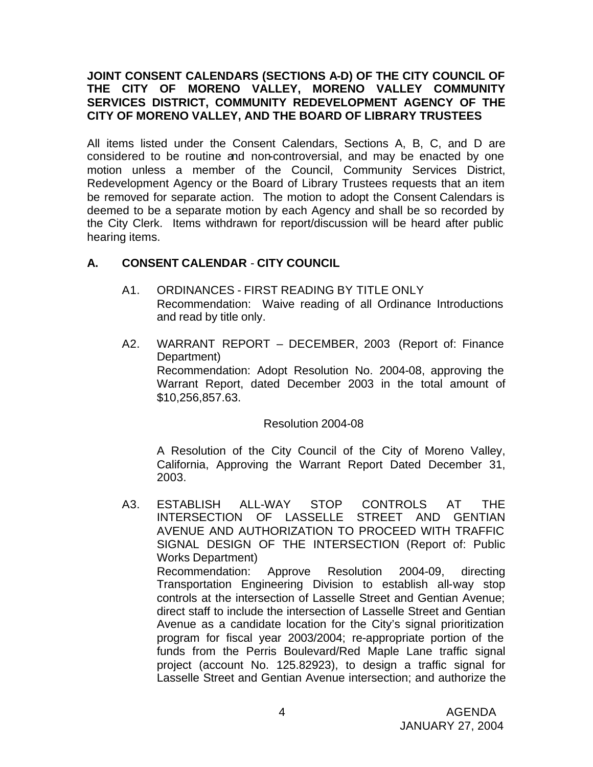### **JOINT CONSENT CALENDARS (SECTIONS A-D) OF THE CITY COUNCIL OF THE CITY OF MORENO VALLEY, MORENO VALLEY COMMUNITY SERVICES DISTRICT, COMMUNITY REDEVELOPMENT AGENCY OF THE CITY OF MORENO VALLEY, AND THE BOARD OF LIBRARY TRUSTEES**

All items listed under the Consent Calendars, Sections A, B, C, and D are considered to be routine and non-controversial, and may be enacted by one motion unless a member of the Council, Community Services District, Redevelopment Agency or the Board of Library Trustees requests that an item be removed for separate action. The motion to adopt the Consent Calendars is deemed to be a separate motion by each Agency and shall be so recorded by the City Clerk. Items withdrawn for report/discussion will be heard after public hearing items.

## **A. CONSENT CALENDAR** - **CITY COUNCIL**

- A1. ORDINANCES FIRST READING BY TITLE ONLY Recommendation: Waive reading of all Ordinance Introductions and read by title only.
- A2. WARRANT REPORT DECEMBER, 2003 (Report of: Finance Department) Recommendation: Adopt Resolution No. 2004-08, approving the Warrant Report, dated December 2003 in the total amount of \$10,256,857.63.

Resolution 2004-08

A Resolution of the City Council of the City of Moreno Valley, California, Approving the Warrant Report Dated December 31, 2003.

A3. ESTABLISH ALL-WAY STOP CONTROLS AT THE INTERSECTION OF LASSELLE STREET AND GENTIAN AVENUE AND AUTHORIZATION TO PROCEED WITH TRAFFIC SIGNAL DESIGN OF THE INTERSECTION (Report of: Public Works Department) Recommendation: Approve Resolution 2004-09, directing Transportation Engineering Division to establish all-way stop controls at the intersection of Lasselle Street and Gentian Avenue; direct staff to include the intersection of Lasselle Street and Gentian Avenue as a candidate location for the City's signal prioritization program for fiscal year 2003/2004; re-appropriate portion of the funds from the Perris Boulevard/Red Maple Lane traffic signal project (account No. 125.82923), to design a traffic signal for Lasselle Street and Gentian Avenue intersection; and authorize the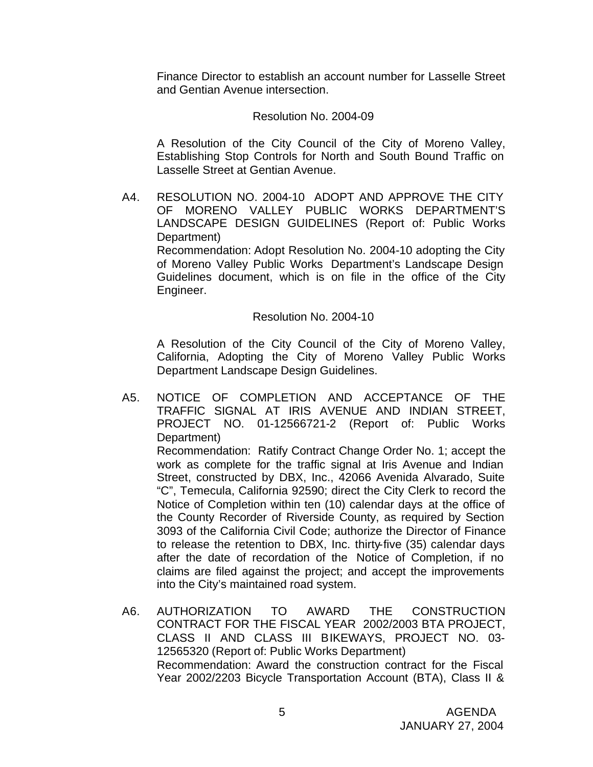Finance Director to establish an account number for Lasselle Street and Gentian Avenue intersection.

#### Resolution No. 2004-09

A Resolution of the City Council of the City of Moreno Valley, Establishing Stop Controls for North and South Bound Traffic on Lasselle Street at Gentian Avenue.

A4. RESOLUTION NO. 2004-10 ADOPT AND APPROVE THE CITY OF MORENO VALLEY PUBLIC WORKS DEPARTMENT'S LANDSCAPE DESIGN GUIDELINES (Report of: Public Works Department) Recommendation: Adopt Resolution No. 2004-10 adopting the City

of Moreno Valley Public Works Department's Landscape Design Guidelines document, which is on file in the office of the City Engineer.

### Resolution No. 2004-10

A Resolution of the City Council of the City of Moreno Valley, California, Adopting the City of Moreno Valley Public Works Department Landscape Design Guidelines.

- A5. NOTICE OF COMPLETION AND ACCEPTANCE OF THE TRAFFIC SIGNAL AT IRIS AVENUE AND INDIAN STREET, PROJECT NO. 01-12566721-2 (Report of: Public Works Department) Recommendation: Ratify Contract Change Order No. 1; accept the work as complete for the traffic signal at Iris Avenue and Indian Street, constructed by DBX, Inc., 42066 Avenida Alvarado, Suite "C", Temecula, California 92590; direct the City Clerk to record the Notice of Completion within ten (10) calendar days at the office of the County Recorder of Riverside County, as required by Section 3093 of the California Civil Code; authorize the Director of Finance to release the retention to DBX, Inc. thirty-five (35) calendar days after the date of recordation of the Notice of Completion, if no claims are filed against the project; and accept the improvements into the City's maintained road system.
- A6. AUTHORIZATION TO AWARD THE CONSTRUCTION CONTRACT FOR THE FISCAL YEAR 2002/2003 BTA PROJECT, CLASS II AND CLASS III BIKEWAYS, PROJECT NO. 03- 12565320 (Report of: Public Works Department) Recommendation: Award the construction contract for the Fiscal Year 2002/2203 Bicycle Transportation Account (BTA), Class II &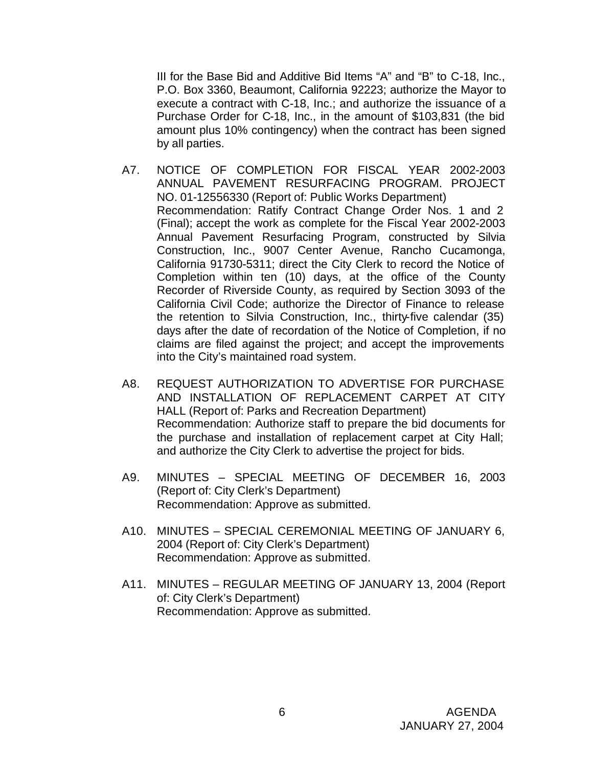III for the Base Bid and Additive Bid Items "A" and "B" to C-18, Inc., P.O. Box 3360, Beaumont, California 92223; authorize the Mayor to execute a contract with C-18, Inc.; and authorize the issuance of a Purchase Order for C-18, Inc., in the amount of \$103,831 (the bid amount plus 10% contingency) when the contract has been signed by all parties.

- A7. NOTICE OF COMPLETION FOR FISCAL YEAR 2002-2003 ANNUAL PAVEMENT RESURFACING PROGRAM. PROJECT NO. 01-12556330 (Report of: Public Works Department) Recommendation: Ratify Contract Change Order Nos. 1 and 2 (Final); accept the work as complete for the Fiscal Year 2002-2003 Annual Pavement Resurfacing Program, constructed by Silvia Construction, Inc., 9007 Center Avenue, Rancho Cucamonga, California 91730-5311; direct the City Clerk to record the Notice of Completion within ten (10) days, at the office of the County Recorder of Riverside County, as required by Section 3093 of the California Civil Code; authorize the Director of Finance to release the retention to Silvia Construction, Inc., thirty-five calendar (35) days after the date of recordation of the Notice of Completion, if no claims are filed against the project; and accept the improvements into the City's maintained road system.
- A8. REQUEST AUTHORIZATION TO ADVERTISE FOR PURCHASE AND INSTALLATION OF REPLACEMENT CARPET AT CITY HALL (Report of: Parks and Recreation Department) Recommendation: Authorize staff to prepare the bid documents for the purchase and installation of replacement carpet at City Hall; and authorize the City Clerk to advertise the project for bids.
- A9. MINUTES SPECIAL MEETING OF DECEMBER 16, 2003 (Report of: City Clerk's Department) Recommendation: Approve as submitted.
- A10. MINUTES SPECIAL CEREMONIAL MEETING OF JANUARY 6, 2004 (Report of: City Clerk's Department) Recommendation: Approve as submitted.
- A11. MINUTES REGULAR MEETING OF JANUARY 13, 2004 (Report of: City Clerk's Department) Recommendation: Approve as submitted.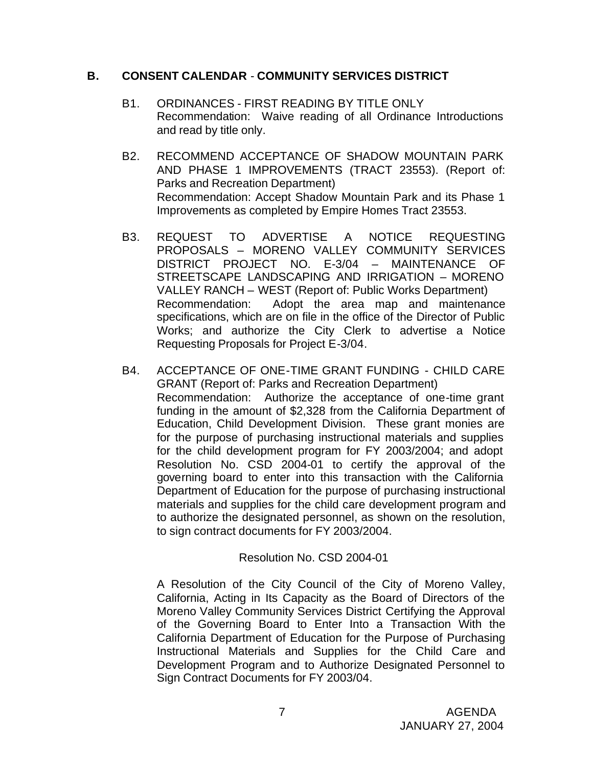### **B. CONSENT CALENDAR** - **COMMUNITY SERVICES DISTRICT**

- B1. ORDINANCES FIRST READING BY TITLE ONLY Recommendation: Waive reading of all Ordinance Introductions and read by title only.
- B2. RECOMMEND ACCEPTANCE OF SHADOW MOUNTAIN PARK AND PHASE 1 IMPROVEMENTS (TRACT 23553). (Report of: Parks and Recreation Department) Recommendation: Accept Shadow Mountain Park and its Phase 1 Improvements as completed by Empire Homes Tract 23553.
- B3. REQUEST TO ADVERTISE A NOTICE REQUESTING PROPOSALS – MORENO VALLEY COMMUNITY SERVICES DISTRICT PROJECT NO. E-3/04 – MAINTENANCE OF STREETSCAPE LANDSCAPING AND IRRIGATION – MORENO VALLEY RANCH – WEST (Report of: Public Works Department) Recommendation: Adopt the area map and maintenance specifications, which are on file in the office of the Director of Public Works; and authorize the City Clerk to advertise a Notice Requesting Proposals for Project E-3/04.
- B4. ACCEPTANCE OF ONE-TIME GRANT FUNDING CHILD CARE GRANT (Report of: Parks and Recreation Department) Recommendation: Authorize the acceptance of one-time grant funding in the amount of \$2,328 from the California Department of Education, Child Development Division. These grant monies are for the purpose of purchasing instructional materials and supplies for the child development program for FY 2003/2004; and adopt Resolution No. CSD 2004-01 to certify the approval of the governing board to enter into this transaction with the California Department of Education for the purpose of purchasing instructional materials and supplies for the child care development program and to authorize the designated personnel, as shown on the resolution, to sign contract documents for FY 2003/2004.

### Resolution No. CSD 2004-01

A Resolution of the City Council of the City of Moreno Valley, California, Acting in Its Capacity as the Board of Directors of the Moreno Valley Community Services District Certifying the Approval of the Governing Board to Enter Into a Transaction With the California Department of Education for the Purpose of Purchasing Instructional Materials and Supplies for the Child Care and Development Program and to Authorize Designated Personnel to Sign Contract Documents for FY 2003/04.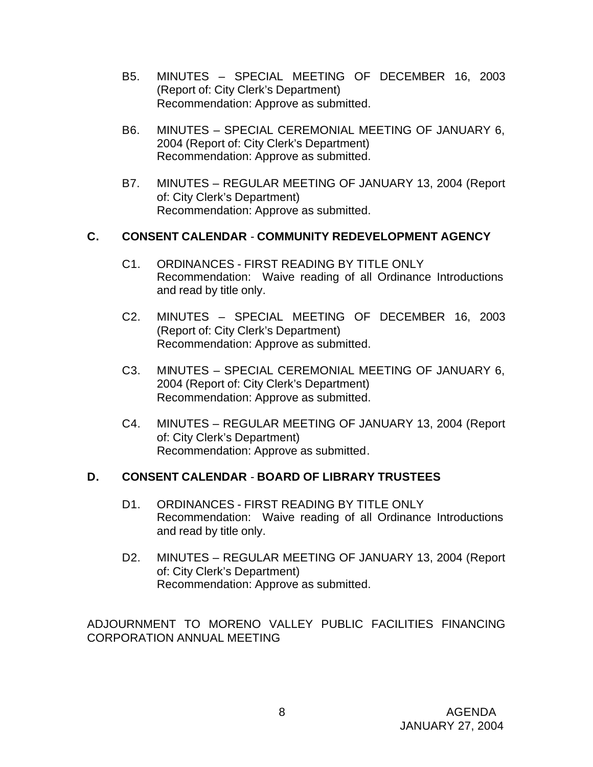- B5. MINUTES SPECIAL MEETING OF DECEMBER 16, 2003 (Report of: City Clerk's Department) Recommendation: Approve as submitted.
- B6. MINUTES SPECIAL CEREMONIAL MEETING OF JANUARY 6, 2004 (Report of: City Clerk's Department) Recommendation: Approve as submitted.
- B7. MINUTES REGULAR MEETING OF JANUARY 13, 2004 (Report of: City Clerk's Department) Recommendation: Approve as submitted.

## **C. CONSENT CALENDAR** - **COMMUNITY REDEVELOPMENT AGENCY**

- C1. ORDINANCES FIRST READING BY TITLE ONLY Recommendation: Waive reading of all Ordinance Introductions and read by title only.
- C2. MINUTES SPECIAL MEETING OF DECEMBER 16, 2003 (Report of: City Clerk's Department) Recommendation: Approve as submitted.
- C3. MINUTES SPECIAL CEREMONIAL MEETING OF JANUARY 6, 2004 (Report of: City Clerk's Department) Recommendation: Approve as submitted.
- C4. MINUTES REGULAR MEETING OF JANUARY 13, 2004 (Report of: City Clerk's Department) Recommendation: Approve as submitted.

## **D. CONSENT CALENDAR** - **BOARD OF LIBRARY TRUSTEES**

- D1. ORDINANCES FIRST READING BY TITLE ONLY Recommendation: Waive reading of all Ordinance Introductions and read by title only.
- D2. MINUTES REGULAR MEETING OF JANUARY 13, 2004 (Report of: City Clerk's Department) Recommendation: Approve as submitted.

ADJOURNMENT TO MORENO VALLEY PUBLIC FACILITIES FINANCING CORPORATION ANNUAL MEETING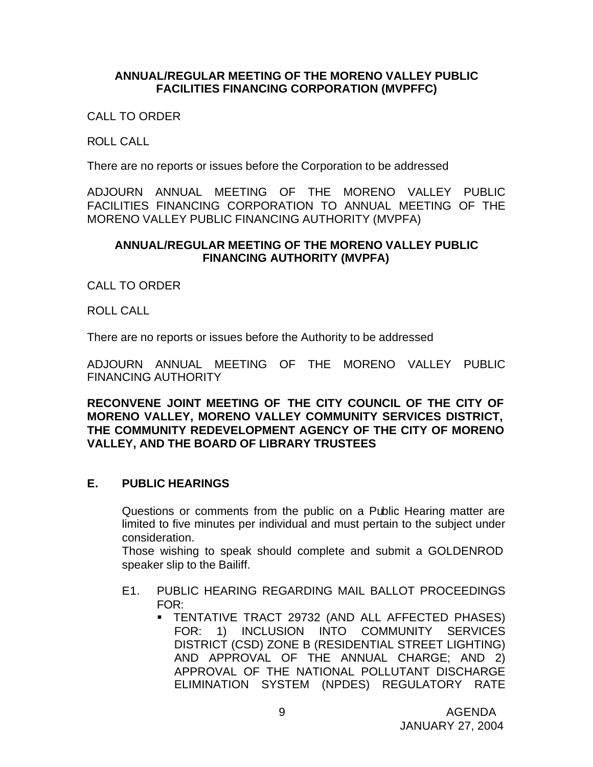#### **ANNUAL/REGULAR MEETING OF THE MORENO VALLEY PUBLIC FACILITIES FINANCING CORPORATION (MVPFFC)**

CALL TO ORDER

ROLL CALL

There are no reports or issues before the Corporation to be addressed

ADJOURN ANNUAL MEETING OF THE MORENO VALLEY PUBLIC FACILITIES FINANCING CORPORATION TO ANNUAL MEETING OF THE MORENO VALLEY PUBLIC FINANCING AUTHORITY (MVPFA)

#### **ANNUAL/REGULAR MEETING OF THE MORENO VALLEY PUBLIC FINANCING AUTHORITY (MVPFA)**

CALL TO ORDER

ROLL CALL

There are no reports or issues before the Authority to be addressed

ADJOURN ANNUAL MEETING OF THE MORENO VALLEY PUBLIC FINANCING AUTHORITY

**RECONVENE JOINT MEETING OF THE CITY COUNCIL OF THE CITY OF MORENO VALLEY, MORENO VALLEY COMMUNITY SERVICES DISTRICT, THE COMMUNITY REDEVELOPMENT AGENCY OF THE CITY OF MORENO VALLEY, AND THE BOARD OF LIBRARY TRUSTEES**

### **E. PUBLIC HEARINGS**

Questions or comments from the public on a Public Hearing matter are limited to five minutes per individual and must pertain to the subject under consideration.

Those wishing to speak should complete and submit a GOLDENROD speaker slip to the Bailiff.

- E1. PUBLIC HEARING REGARDING MAIL BALLOT PROCEEDINGS FOR:
	- ß TENTATIVE TRACT 29732 (AND ALL AFFECTED PHASES) FOR: 1) INCLUSION INTO COMMUNITY SERVICES DISTRICT (CSD) ZONE B (RESIDENTIAL STREET LIGHTING) AND APPROVAL OF THE ANNUAL CHARGE; AND 2) APPROVAL OF THE NATIONAL POLLUTANT DISCHARGE ELIMINATION SYSTEM (NPDES) REGULATORY RATE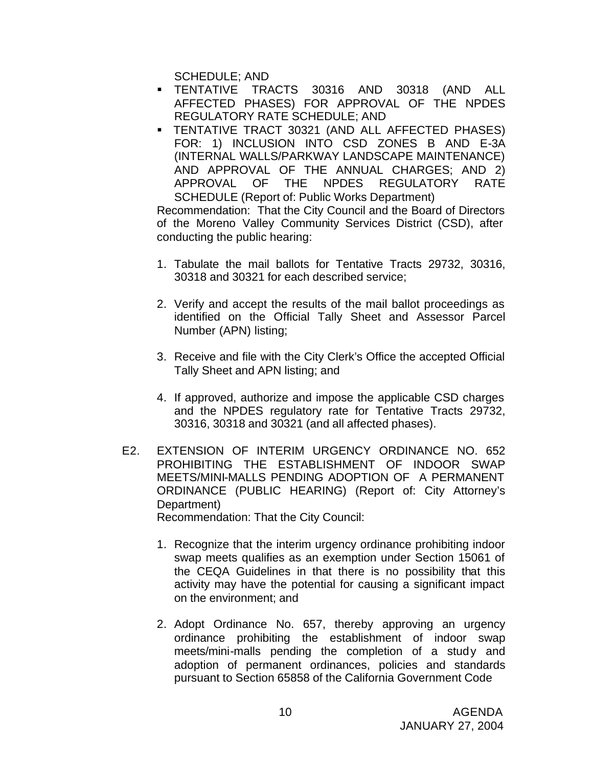SCHEDULE; AND

- ß TENTATIVE TRACTS 30316 AND 30318 (AND ALL AFFECTED PHASES) FOR APPROVAL OF THE NPDES REGULATORY RATE SCHEDULE; AND
- **F TENTATIVE TRACT 30321 (AND ALL AFFECTED PHASES)** FOR: 1) INCLUSION INTO CSD ZONES B AND E-3A (INTERNAL WALLS/PARKWAY LANDSCAPE MAINTENANCE) AND APPROVAL OF THE ANNUAL CHARGES; AND 2) APPROVAL OF THE NPDES REGULATORY RATE SCHEDULE (Report of: Public Works Department)

Recommendation: That the City Council and the Board of Directors of the Moreno Valley Community Services District (CSD), after conducting the public hearing:

- 1. Tabulate the mail ballots for Tentative Tracts 29732, 30316, 30318 and 30321 for each described service;
- 2. Verify and accept the results of the mail ballot proceedings as identified on the Official Tally Sheet and Assessor Parcel Number (APN) listing;
- 3. Receive and file with the City Clerk's Office the accepted Official Tally Sheet and APN listing; and
- 4. If approved, authorize and impose the applicable CSD charges and the NPDES regulatory rate for Tentative Tracts 29732, 30316, 30318 and 30321 (and all affected phases).
- E2. EXTENSION OF INTERIM URGENCY ORDINANCE NO. 652 PROHIBITING THE ESTABLISHMENT OF INDOOR SWAP MEETS/MINI-MALLS PENDING ADOPTION OF A PERMANENT ORDINANCE (PUBLIC HEARING) (Report of: City Attorney's Department)

Recommendation: That the City Council:

- 1. Recognize that the interim urgency ordinance prohibiting indoor swap meets qualifies as an exemption under Section 15061 of the CEQA Guidelines in that there is no possibility that this activity may have the potential for causing a significant impact on the environment; and
- 2. Adopt Ordinance No. 657, thereby approving an urgency ordinance prohibiting the establishment of indoor swap meets/mini-malls pending the completion of a study and adoption of permanent ordinances, policies and standards pursuant to Section 65858 of the California Government Code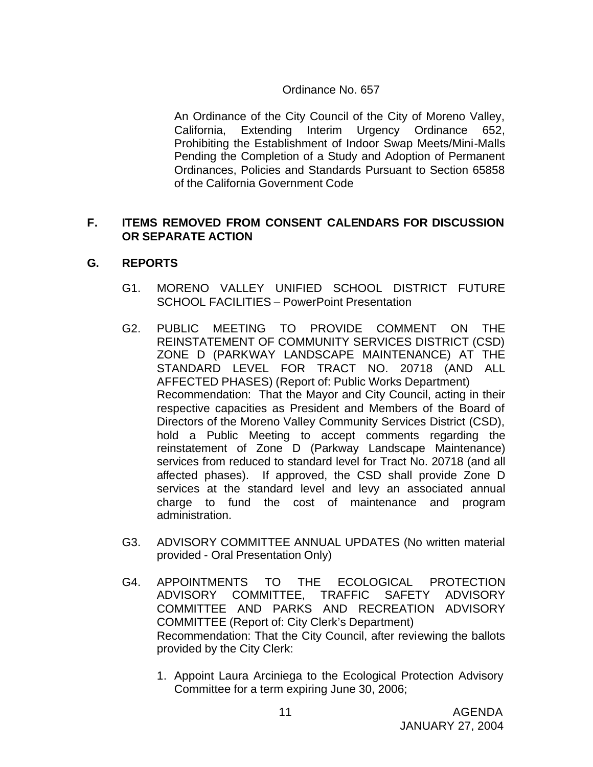### Ordinance No. 657

An Ordinance of the City Council of the City of Moreno Valley, California, Extending Interim Urgency Ordinance 652, Prohibiting the Establishment of Indoor Swap Meets/Mini-Malls Pending the Completion of a Study and Adoption of Permanent Ordinances, Policies and Standards Pursuant to Section 65858 of the California Government Code

## **F. ITEMS REMOVED FROM CONSENT CALENDARS FOR DISCUSSION OR SEPARATE ACTION**

### **G. REPORTS**

- G1. MORENO VALLEY UNIFIED SCHOOL DISTRICT FUTURE SCHOOL FACILITIES – PowerPoint Presentation
- G2. PUBLIC MEETING TO PROVIDE COMMENT ON THE REINSTATEMENT OF COMMUNITY SERVICES DISTRICT (CSD) ZONE D (PARKWAY LANDSCAPE MAINTENANCE) AT THE STANDARD LEVEL FOR TRACT NO. 20718 (AND ALL AFFECTED PHASES) (Report of: Public Works Department) Recommendation: That the Mayor and City Council, acting in their respective capacities as President and Members of the Board of Directors of the Moreno Valley Community Services District (CSD), hold a Public Meeting to accept comments regarding the reinstatement of Zone D (Parkway Landscape Maintenance) services from reduced to standard level for Tract No. 20718 (and all affected phases). If approved, the CSD shall provide Zone D services at the standard level and levy an associated annual charge to fund the cost of maintenance and program administration.
- G3. ADVISORY COMMITTEE ANNUAL UPDATES (No written material provided - Oral Presentation Only)
- G4. APPOINTMENTS TO THE ECOLOGICAL PROTECTION ADVISORY COMMITTEE, TRAFFIC SAFETY ADVISORY COMMITTEE AND PARKS AND RECREATION ADVISORY COMMITTEE (Report of: City Clerk's Department) Recommendation: That the City Council, after reviewing the ballots provided by the City Clerk:
	- 1. Appoint Laura Arciniega to the Ecological Protection Advisory Committee for a term expiring June 30, 2006;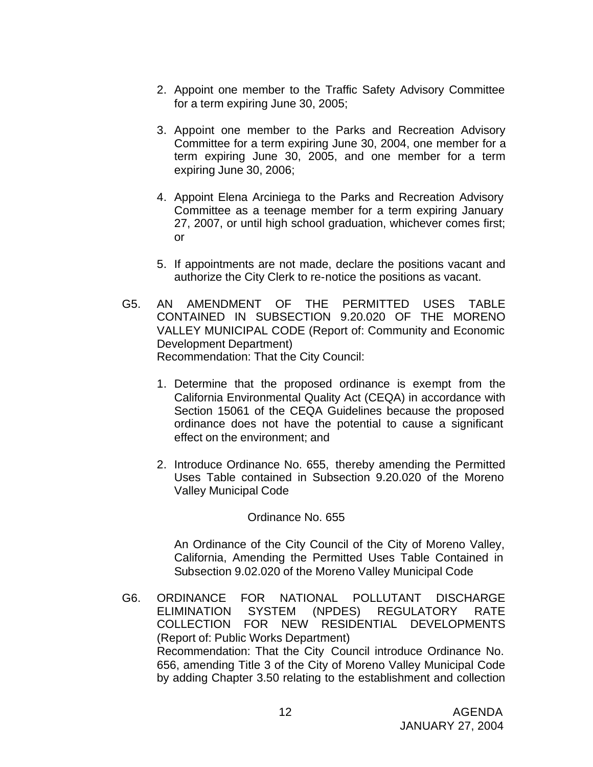- 2. Appoint one member to the Traffic Safety Advisory Committee for a term expiring June 30, 2005;
- 3. Appoint one member to the Parks and Recreation Advisory Committee for a term expiring June 30, 2004, one member for a term expiring June 30, 2005, and one member for a term expiring June 30, 2006;
- 4. Appoint Elena Arciniega to the Parks and Recreation Advisory Committee as a teenage member for a term expiring January 27, 2007, or until high school graduation, whichever comes first; or
- 5. If appointments are not made, declare the positions vacant and authorize the City Clerk to re-notice the positions as vacant.
- G5. AN AMENDMENT OF THE PERMITTED USES TABLE CONTAINED IN SUBSECTION 9.20.020 OF THE MORENO VALLEY MUNICIPAL CODE (Report of: Community and Economic Development Department) Recommendation: That the City Council:
	- 1. Determine that the proposed ordinance is exempt from the California Environmental Quality Act (CEQA) in accordance with Section 15061 of the CEQA Guidelines because the proposed ordinance does not have the potential to cause a significant effect on the environment; and
	- 2. Introduce Ordinance No. 655, thereby amending the Permitted Uses Table contained in Subsection 9.20.020 of the Moreno Valley Municipal Code

### Ordinance No. 655

An Ordinance of the City Council of the City of Moreno Valley, California, Amending the Permitted Uses Table Contained in Subsection 9.02.020 of the Moreno Valley Municipal Code

G6. ORDINANCE FOR NATIONAL POLLUTANT DISCHARGE ELIMINATION SYSTEM (NPDES) REGULATORY RATE COLLECTION FOR NEW RESIDENTIAL DEVELOPMENTS (Report of: Public Works Department) Recommendation: That the City Council introduce Ordinance No. 656, amending Title 3 of the City of Moreno Valley Municipal Code by adding Chapter 3.50 relating to the establishment and collection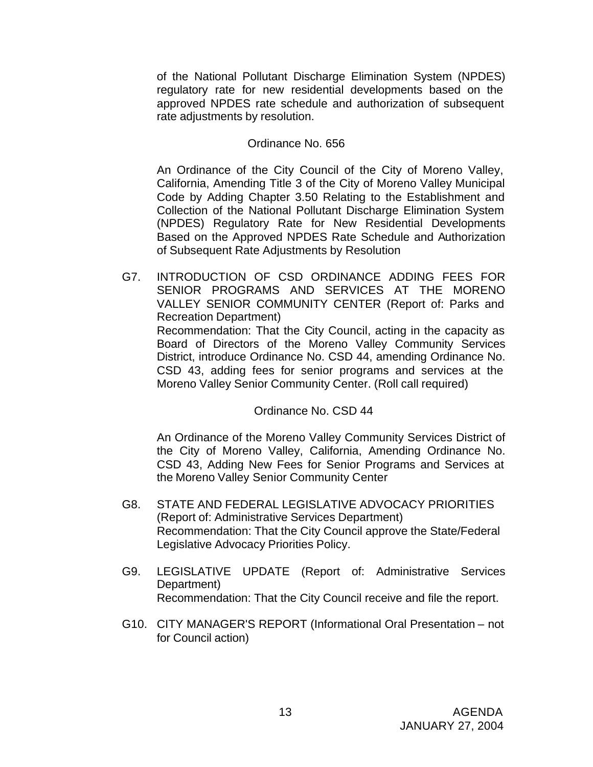of the National Pollutant Discharge Elimination System (NPDES) regulatory rate for new residential developments based on the approved NPDES rate schedule and authorization of subsequent rate adjustments by resolution.

#### Ordinance No. 656

An Ordinance of the City Council of the City of Moreno Valley, California, Amending Title 3 of the City of Moreno Valley Municipal Code by Adding Chapter 3.50 Relating to the Establishment and Collection of the National Pollutant Discharge Elimination System (NPDES) Regulatory Rate for New Residential Developments Based on the Approved NPDES Rate Schedule and Authorization of Subsequent Rate Adjustments by Resolution

G7. INTRODUCTION OF CSD ORDINANCE ADDING FEES FOR SENIOR PROGRAMS AND SERVICES AT THE MORENO VALLEY SENIOR COMMUNITY CENTER (Report of: Parks and Recreation Department) Recommendation: That the City Council, acting in the capacity as Board of Directors of the Moreno Valley Community Services District, introduce Ordinance No. CSD 44, amending Ordinance No. CSD 43, adding fees for senior programs and services at the

Moreno Valley Senior Community Center. (Roll call required)

### Ordinance No. CSD 44

An Ordinance of the Moreno Valley Community Services District of the City of Moreno Valley, California, Amending Ordinance No. CSD 43, Adding New Fees for Senior Programs and Services at the Moreno Valley Senior Community Center

- G8. STATE AND FEDERAL LEGISLATIVE ADVOCACY PRIORITIES (Report of: Administrative Services Department) Recommendation: That the City Council approve the State/Federal Legislative Advocacy Priorities Policy.
- G9. LEGISLATIVE UPDATE (Report of: Administrative Services Department) Recommendation: That the City Council receive and file the report.
- G10. CITY MANAGER'S REPORT (Informational Oral Presentation not for Council action)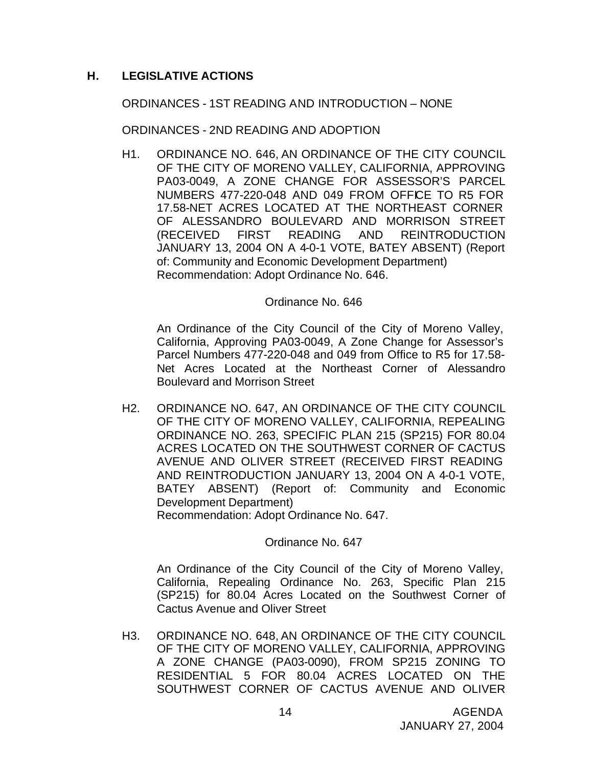## **H. LEGISLATIVE ACTIONS**

ORDINANCES - 1ST READING AND INTRODUCTION – NONE

ORDINANCES - 2ND READING AND ADOPTION

H1. ORDINANCE NO. 646, AN ORDINANCE OF THE CITY COUNCIL OF THE CITY OF MORENO VALLEY, CALIFORNIA, APPROVING PA03-0049, A ZONE CHANGE FOR ASSESSOR'S PARCEL NUMBERS 477-220-048 AND 049 FROM OFFICE TO R5 FOR 17.58-NET ACRES LOCATED AT THE NORTHEAST CORNER OF ALESSANDRO BOULEVARD AND MORRISON STREET (RECEIVED FIRST READING AND REINTRODUCTION JANUARY 13, 2004 ON A 4-0-1 VOTE, BATEY ABSENT) (Report of: Community and Economic Development Department) Recommendation: Adopt Ordinance No. 646.

#### Ordinance No. 646

An Ordinance of the City Council of the City of Moreno Valley, California, Approving PA03-0049, A Zone Change for Assessor's Parcel Numbers 477-220-048 and 049 from Office to R5 for 17.58- Net Acres Located at the Northeast Corner of Alessandro Boulevard and Morrison Street

H2. ORDINANCE NO. 647, AN ORDINANCE OF THE CITY COUNCIL OF THE CITY OF MORENO VALLEY, CALIFORNIA, REPEALING ORDINANCE NO. 263, SPECIFIC PLAN 215 (SP215) FOR 80.04 ACRES LOCATED ON THE SOUTHWEST CORNER OF CACTUS AVENUE AND OLIVER STREET (RECEIVED FIRST READING AND REINTRODUCTION JANUARY 13, 2004 ON A 4-0-1 VOTE, BATEY ABSENT) (Report of: Community and Economic Development Department)

Recommendation: Adopt Ordinance No. 647.

Ordinance No. 647

An Ordinance of the City Council of the City of Moreno Valley, California, Repealing Ordinance No. 263, Specific Plan 215 (SP215) for 80.04 Acres Located on the Southwest Corner of Cactus Avenue and Oliver Street

H3. ORDINANCE NO. 648, AN ORDINANCE OF THE CITY COUNCIL OF THE CITY OF MORENO VALLEY, CALIFORNIA, APPROVING A ZONE CHANGE (PA03-0090), FROM SP215 ZONING TO RESIDENTIAL 5 FOR 80.04 ACRES LOCATED ON THE SOUTHWEST CORNER OF CACTUS AVENUE AND OLIVER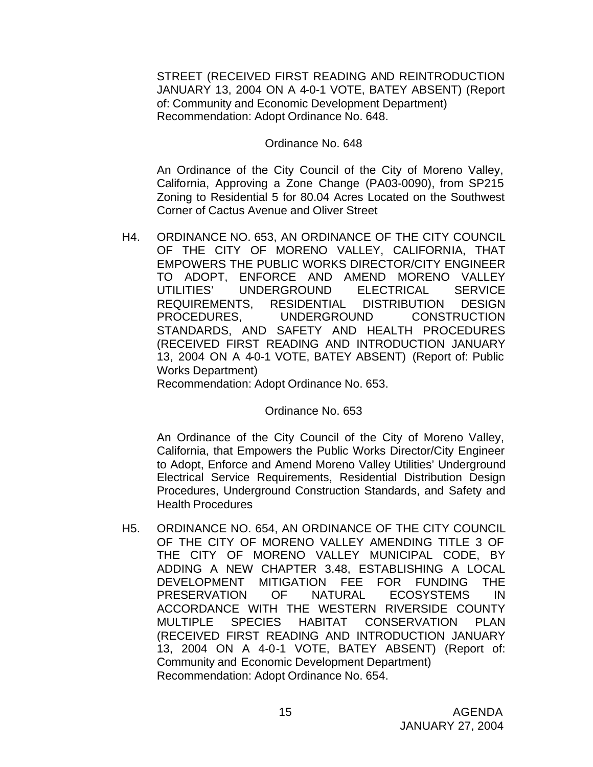STREET (RECEIVED FIRST READING AND REINTRODUCTION JANUARY 13, 2004 ON A 4-0-1 VOTE, BATEY ABSENT) (Report of: Community and Economic Development Department) Recommendation: Adopt Ordinance No. 648.

#### Ordinance No. 648

An Ordinance of the City Council of the City of Moreno Valley, California, Approving a Zone Change (PA03-0090), from SP215 Zoning to Residential 5 for 80.04 Acres Located on the Southwest Corner of Cactus Avenue and Oliver Street

H4. ORDINANCE NO. 653, AN ORDINANCE OF THE CITY COUNCIL OF THE CITY OF MORENO VALLEY, CALIFORNIA, THAT EMPOWERS THE PUBLIC WORKS DIRECTOR/CITY ENGINEER TO ADOPT, ENFORCE AND AMEND MORENO VALLEY UTILITIES' UNDERGROUND ELECTRICAL SERVICE REQUIREMENTS, RESIDENTIAL DISTRIBUTION DESIGN PROCEDURES, UNDERGROUND CONSTRUCTION STANDARDS, AND SAFETY AND HEALTH PROCEDURES (RECEIVED FIRST READING AND INTRODUCTION JANUARY 13, 2004 ON A 4-0-1 VOTE, BATEY ABSENT) (Report of: Public Works Department)

Recommendation: Adopt Ordinance No. 653.

Ordinance No. 653

An Ordinance of the City Council of the City of Moreno Valley, California, that Empowers the Public Works Director/City Engineer to Adopt, Enforce and Amend Moreno Valley Utilities' Underground Electrical Service Requirements, Residential Distribution Design Procedures, Underground Construction Standards, and Safety and Health Procedures

H5. ORDINANCE NO. 654, AN ORDINANCE OF THE CITY COUNCIL OF THE CITY OF MORENO VALLEY AMENDING TITLE 3 OF THE CITY OF MORENO VALLEY MUNICIPAL CODE, BY ADDING A NEW CHAPTER 3.48, ESTABLISHING A LOCAL DEVELOPMENT MITIGATION FEE FOR FUNDING THE PRESERVATION OF NATURAL ECOSYSTEMS IN ACCORDANCE WITH THE WESTERN RIVERSIDE COUNTY MULTIPLE SPECIES HABITAT CONSERVATION PLAN (RECEIVED FIRST READING AND INTRODUCTION JANUARY 13, 2004 ON A 4-0-1 VOTE, BATEY ABSENT) (Report of: Community and Economic Development Department) Recommendation: Adopt Ordinance No. 654.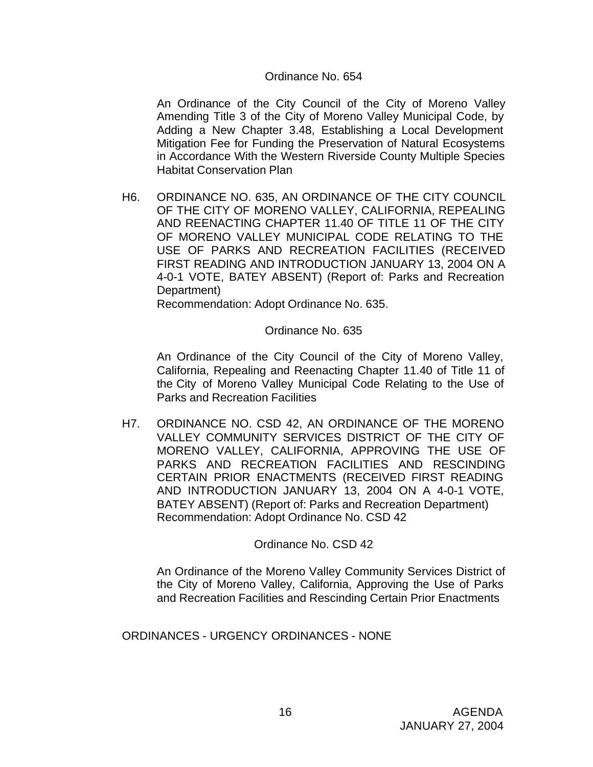#### Ordinance No. 654

An Ordinance of the City Council of the City of Moreno Valley Amending Title 3 of the City of Moreno Valley Municipal Code, by Adding a New Chapter 3.48, Establishing a Local Development Mitigation Fee for Funding the Preservation of Natural Ecosystems in Accordance With the Western Riverside County Multiple Species Habitat Conservation Plan

H6. ORDINANCE NO. 635, AN ORDINANCE OF THE CITY COUNCIL OF THE CITY OF MORENO VALLEY, CALIFORNIA, REPEALING AND REENACTING CHAPTER 11.40 OF TITLE 11 OF THE CITY OF MORENO VALLEY MUNICIPAL CODE RELATING TO THE USE OF PARKS AND RECREATION FACILITIES (RECEIVED FIRST READING AND INTRODUCTION JANUARY 13, 2004 ON A 4-0-1 VOTE, BATEY ABSENT) (Report of: Parks and Recreation Department)

Recommendation: Adopt Ordinance No. 635.

#### Ordinance No. 635

An Ordinance of the City Council of the City of Moreno Valley, California, Repealing and Reenacting Chapter 11.40 of Title 11 of the City of Moreno Valley Municipal Code Relating to the Use of Parks and Recreation Facilities

H7. ORDINANCE NO. CSD 42, AN ORDINANCE OF THE MORENO VALLEY COMMUNITY SERVICES DISTRICT OF THE CITY OF MORENO VALLEY, CALIFORNIA, APPROVING THE USE OF PARKS AND RECREATION FACILITIES AND RESCINDING CERTAIN PRIOR ENACTMENTS (RECEIVED FIRST READING AND INTRODUCTION JANUARY 13, 2004 ON A 4-0-1 VOTE, BATEY ABSENT) (Report of: Parks and Recreation Department) Recommendation: Adopt Ordinance No. CSD 42

Ordinance No. CSD 42

An Ordinance of the Moreno Valley Community Services District of the City of Moreno Valley, California, Approving the Use of Parks and Recreation Facilities and Rescinding Certain Prior Enactments

ORDINANCES - URGENCY ORDINANCES - NONE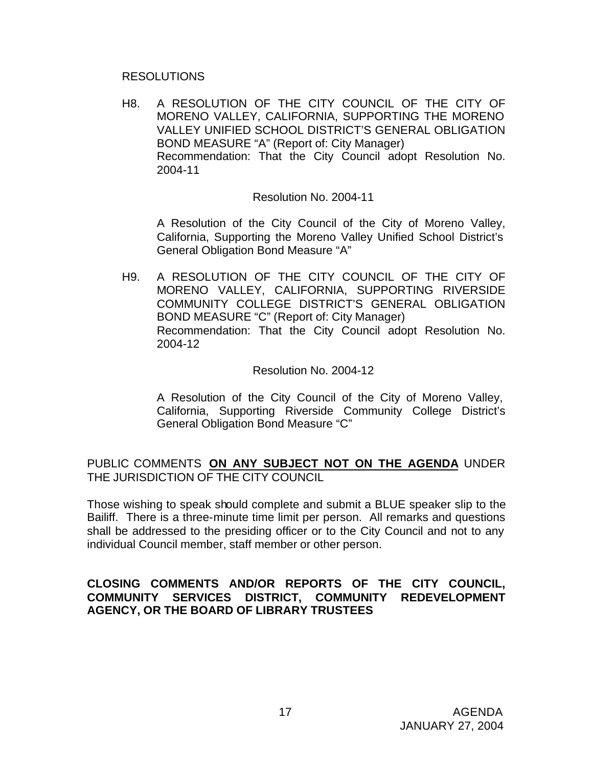#### RESOLUTIONS

H8. A RESOLUTION OF THE CITY COUNCIL OF THE CITY OF MORENO VALLEY, CALIFORNIA, SUPPORTING THE MORENO VALLEY UNIFIED SCHOOL DISTRICT'S GENERAL OBLIGATION BOND MEASURE "A" (Report of: City Manager) Recommendation: That the City Council adopt Resolution No. 2004-11

#### Resolution No. 2004-11

A Resolution of the City Council of the City of Moreno Valley, California, Supporting the Moreno Valley Unified School District's General Obligation Bond Measure "A"

H9. A RESOLUTION OF THE CITY COUNCIL OF THE CITY OF MORENO VALLEY, CALIFORNIA, SUPPORTING RIVERSIDE COMMUNITY COLLEGE DISTRICT'S GENERAL OBLIGATION BOND MEASURE "C" (Report of: City Manager) Recommendation: That the City Council adopt Resolution No. 2004-12

#### Resolution No. 2004-12

A Resolution of the City Council of the City of Moreno Valley, California, Supporting Riverside Community College District's General Obligation Bond Measure "C"

## PUBLIC COMMENTS **ON ANY SUBJECT NOT ON THE AGENDA** UNDER THE JURISDICTION OF THE CITY COUNCIL

Those wishing to speak should complete and submit a BLUE speaker slip to the Bailiff. There is a three-minute time limit per person. All remarks and questions shall be addressed to the presiding officer or to the City Council and not to any individual Council member, staff member or other person.

## **CLOSING COMMENTS AND/OR REPORTS OF THE CITY COUNCIL, COMMUNITY SERVICES DISTRICT, COMMUNITY REDEVELOPMENT AGENCY, OR THE BOARD OF LIBRARY TRUSTEES**